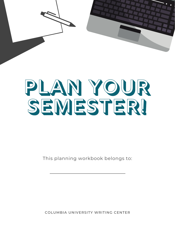

## PLAN YOUR SEMESTERI

This planning workbook belongs to:

COLUMBIA UNIVERSITY WRITING CENTER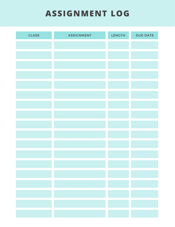## **ASSIGNMENT LOG**

| <b>CLASS</b> | <b>ASSIGNMENT</b> | <b>LENGTH</b> | <b>DUE DATE</b> |
|--------------|-------------------|---------------|-----------------|
|              |                   |               |                 |
|              |                   |               |                 |
|              |                   |               |                 |
|              |                   |               |                 |
|              |                   |               |                 |
|              |                   |               |                 |
|              |                   |               |                 |
|              |                   |               |                 |
|              |                   |               |                 |
|              |                   |               |                 |
|              |                   |               |                 |
|              |                   |               |                 |
|              |                   |               |                 |
|              |                   |               |                 |
|              |                   |               |                 |
|              |                   |               |                 |
|              |                   |               |                 |
|              |                   |               |                 |
|              |                   |               |                 |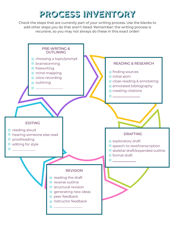## PROCESS INVENTORY

Check the steps that are currently part of your writing process. Use the blanks to add other steps you do that aren't listed. Remember: the writing process is recursive, so you may not always do these in this exact order!

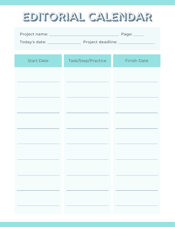## EDITORIAL CALENDAR

|                    | Page: $\_\_$               |                    |
|--------------------|----------------------------|--------------------|
| Today's date: 1988 | Project deadline: ________ |                    |
|                    |                            |                    |
| <b>Start Date</b>  | Task/Step/Practice         | <b>Finish Date</b> |

| <b>Start Date</b> | Task/Step/Practice | <b>Finish Date</b> |
|-------------------|--------------------|--------------------|
|                   |                    |                    |
|                   |                    |                    |
|                   |                    |                    |
|                   |                    |                    |
|                   |                    |                    |
|                   |                    |                    |
|                   |                    |                    |
| and the           |                    |                    |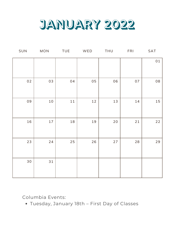

| SUN  | $\sf{MON}$ | <b>TUE</b> | WED | THU    | FRI  | SAT |
|------|------------|------------|-----|--------|------|-----|
|      |            |            |     |        |      | 01  |
|      |            |            |     |        |      |     |
| 02   | 03         | 04         | 05  | 06     | 07   | 08  |
|      |            |            |     |        |      |     |
| 09   | $10\,$     | $1\,1$     | 12  | 13     | 14   | 15  |
|      |            |            |     |        |      |     |
| 16   | 17         | $18\,$     | 19  | $20\,$ | $21$ | 22  |
|      |            |            |     |        |      |     |
| 23   | $24$       | 25         | 26  | $27$   | 28   | 29  |
|      |            |            |     |        |      |     |
| $30$ | 31         |            |     |        |      |     |
|      |            |            |     |        |      |     |

Tuesday, January 18th – First Day of Classes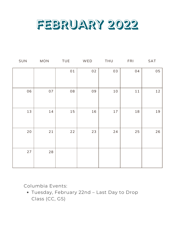

| SUN  | MON | <b>TUE</b> | WED | THU    | <b>FRI</b> | SAT |
|------|-----|------------|-----|--------|------------|-----|
|      |     | 01         | 02  | 03     | 04         | 05  |
|      |     |            |     |        |            |     |
| 06   | 07  | 08         | 09  | $10\,$ | 11         | 12  |
|      |     |            |     |        |            |     |
| 13   | 14  | 15         | 16  | 17     | 18         | 19  |
|      |     |            |     |        |            |     |
| $20$ | 21  | 22         | 23  | 24     | 25         | 26  |
|      |     |            |     |        |            |     |
| 27   | 28  |            |     |        |            |     |
|      |     |            |     |        |            |     |

Tuesday, February 22nd – Last Day to Drop Class (CC, GS)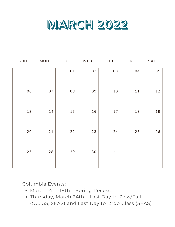

| SUN | <b>MON</b> | <b>TUE</b> | WED  | <b>THU</b> | <b>FRI</b> | SAT |
|-----|------------|------------|------|------------|------------|-----|
|     |            | 01         | 02   | 03         | 04         | 05  |
| 06  | 07         | 08         | 09   | $10\,$     | $11$       | 12  |
| 13  | 14         | 15         | 16   | $17$       | 18         | 19  |
| 20  | 21         | 22         | 23   | 24         | 25         | 26  |
| 27  | 28         | 29         | $30$ | 31         |            |     |

- March 14th-18th Spring Recess
- Thursday, March 24th Last Day to Pass/Fail (CC, GS, SEAS) and Last Day to Drop Class (SEAS)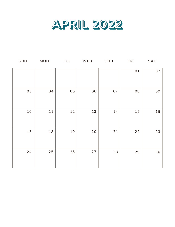

| SUN    | <b>MON</b> | <b>TUE</b> | WED | <b>THU</b> | <b>FRI</b> | SAT  |
|--------|------------|------------|-----|------------|------------|------|
|        |            |            |     |            | 01         | 02   |
| 03     | 04         | 05         | 06  | 07         | 08         | 09   |
| $10\,$ | $1\,1$     | 12         | 13  | 14         | 15         | 16   |
| 17     | 18         | 19         | 20  | 21         | 22         | 23   |
| 24     | 25         | 26         | 27  | 28         | 29         | $30$ |